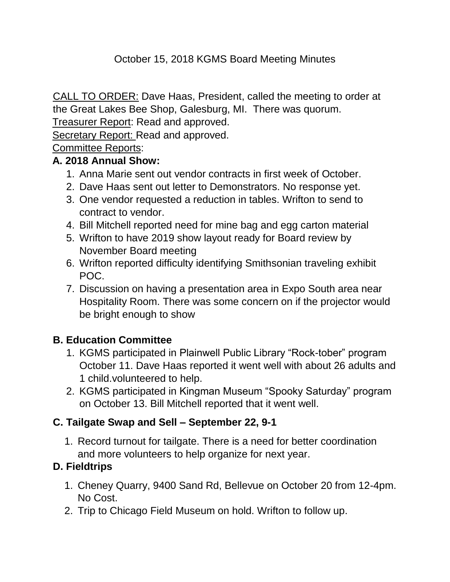# October 15, 2018 KGMS Board Meeting Minutes

CALL TO ORDER: Dave Haas, President, called the meeting to order at the Great Lakes Bee Shop, Galesburg, MI. There was quorum.

Treasurer Report: Read and approved.

Secretary Report: Read and approved.

## Committee Reports:

## **A. 2018 Annual Show:**

- 1. Anna Marie sent out vendor contracts in first week of October.
- 2. Dave Haas sent out letter to Demonstrators. No response yet.
- 3. One vendor requested a reduction in tables. Wrifton to send to contract to vendor.
- 4. Bill Mitchell reported need for mine bag and egg carton material
- 5. Wrifton to have 2019 show layout ready for Board review by November Board meeting
- 6. Wrifton reported difficulty identifying Smithsonian traveling exhibit POC.
- 7. Discussion on having a presentation area in Expo South area near Hospitality Room. There was some concern on if the projector would be bright enough to show

# **B. Education Committee**

- 1. KGMS participated in Plainwell Public Library "Rock-tober" program October 11. Dave Haas reported it went well with about 26 adults and 1 child.volunteered to help.
- 2. KGMS participated in Kingman Museum "Spooky Saturday" program on October 13. Bill Mitchell reported that it went well.

# **C. Tailgate Swap and Sell – September 22, 9-1**

1. Record turnout for tailgate. There is a need for better coordination and more volunteers to help organize for next year.

# **D. Fieldtrips**

- 1. Cheney Quarry, 9400 Sand Rd, Bellevue on October 20 from 12-4pm. No Cost.
- 2. Trip to Chicago Field Museum on hold. Wrifton to follow up.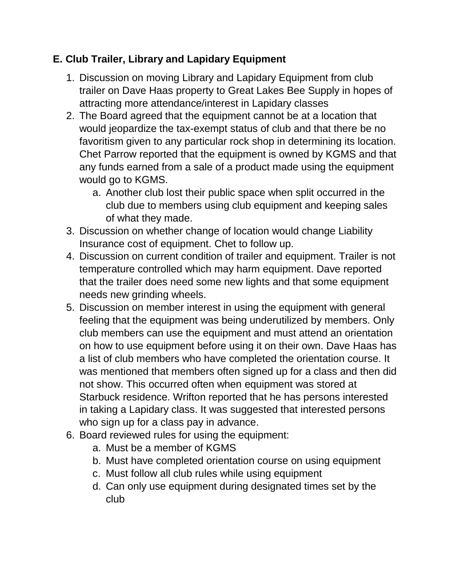## **E. Club Trailer, Library and Lapidary Equipment**

- 1. Discussion on moving Library and Lapidary Equipment from club trailer on Dave Haas property to Great Lakes Bee Supply in hopes of attracting more attendance/interest in Lapidary classes
- 2. The Board agreed that the equipment cannot be at a location that would jeopardize the tax-exempt status of club and that there be no favoritism given to any particular rock shop in determining its location. Chet Parrow reported that the equipment is owned by KGMS and that any funds earned from a sale of a product made using the equipment would go to KGMS.
	- a. Another club lost their public space when split occurred in the club due to members using club equipment and keeping sales of what they made.
- 3. Discussion on whether change of location would change Liability Insurance cost of equipment. Chet to follow up.
- 4. Discussion on current condition of trailer and equipment. Trailer is not temperature controlled which may harm equipment. Dave reported that the trailer does need some new lights and that some equipment needs new grinding wheels.
- 5. Discussion on member interest in using the equipment with general feeling that the equipment was being underutilized by members. Only club members can use the equipment and must attend an orientation on how to use equipment before using it on their own. Dave Haas has a list of club members who have completed the orientation course. It was mentioned that members often signed up for a class and then did not show. This occurred often when equipment was stored at Starbuck residence. Wrifton reported that he has persons interested in taking a Lapidary class. It was suggested that interested persons who sign up for a class pay in advance.
- 6. Board reviewed rules for using the equipment:
	- a. Must be a member of KGMS
	- b. Must have completed orientation course on using equipment
	- c. Must follow all club rules while using equipment
	- d. Can only use equipment during designated times set by the club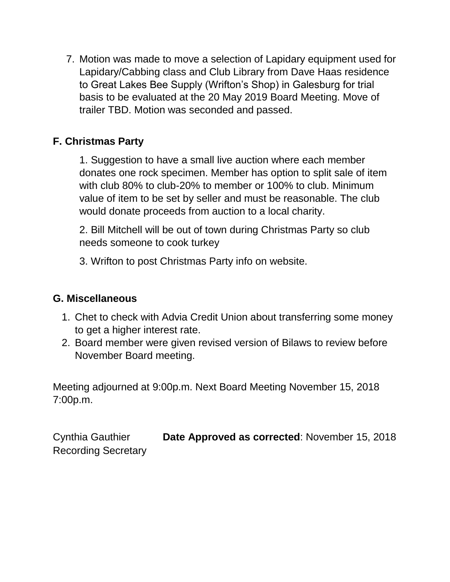7. Motion was made to move a selection of Lapidary equipment used for Lapidary/Cabbing class and Club Library from Dave Haas residence to Great Lakes Bee Supply (Wrifton's Shop) in Galesburg for trial basis to be evaluated at the 20 May 2019 Board Meeting. Move of trailer TBD. Motion was seconded and passed.

## **F. Christmas Party**

1. Suggestion to have a small live auction where each member donates one rock specimen. Member has option to split sale of item with club 80% to club-20% to member or 100% to club. Minimum value of item to be set by seller and must be reasonable. The club would donate proceeds from auction to a local charity.

2. Bill Mitchell will be out of town during Christmas Party so club needs someone to cook turkey

3. Wrifton to post Christmas Party info on website.

## **G. Miscellaneous**

- 1. Chet to check with Advia Credit Union about transferring some money to get a higher interest rate.
- 2. Board member were given revised version of Bilaws to review before November Board meeting.

Meeting adjourned at 9:00p.m. Next Board Meeting November 15, 2018 7:00p.m.

Cynthia Gauthier **Date Approved as corrected**: November 15, 2018 Recording Secretary